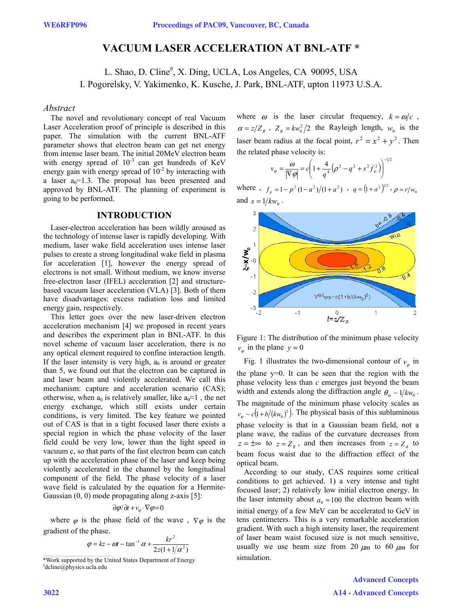# **VACUUM LASER ACCELERATION AT BNL-ATF \***

L. Shao, D. Cline<sup>#</sup>, X. Ding, UCLA, Los Angeles, CA 90095, USA I. Pogorelsky, V. Yakimenko, K. Kusche, J. Park, BNL-ATF, upton 11973 U.S.A.

#### *Abstract*

The novel and revolutionary concept of real Vacuum Laser Acceleration proof of principle is described in this paper. The simulation with the current BNL-ATF parameter shows that electron beam can get net energy from intense laser beam. The initial 20MeV electron beam with energy spread of  $10^{-3}$  can get hundreds of KeV energy gain with energy spread of  $10^{-2}$  by interacting with a laser  $a_0=1.3$ . The proposal has been presented and approved by BNL-ATF. The planning of experiment is going to be performed.

## **INTRODUCTION**

Laser-electron acceleration has been wildly aroused as the technology of intense laser is rapidly developing. With medium, laser wake field acceleration uses intense laser pulses to create a strong longitudinal wake field in plasma for acceleration [1], however the energy spread of electrons is not small. Without medium, we know inverse free-electron laser (IFEL) acceleration [2] and structurebased vacuum laser acceleration (VLA) [3]. Both of them have disadvantages: excess radiation loss and limited energy gain, respectively.

This letter goes over the new laser-driven electron acceleration mechanism [4] we proposed in recent years and describes the experiment plan in BNL-ATF. In this novel scheme of vacuum laser acceleration, there is no any optical element required to confine interaction length. If the laser intensity is very high,  $a_0$  is around or greater than 5, we found out that the electron can be captured in and laser beam and violently accelerated. We call this mechanism: capture and acceleration scenario (CAS); otherwise, when  $a_0$  is relatively smaller, like  $a_0 \approx 1$ , the net energy exchange, which still exists under certain conditions, is very limited. The key feature we pointed out of CAS is that in a tight focused laser there exists a special region in which the phase velocity of the laser field could be very low, lower than the light speed in vacuum c, so that parts of the fast electron beam can catch up with the acceleration phase of the laser and keep being violently accelerated in the channel by the longitudinal component of the field. The phase velocity of a laser wave field is calculated by the equation for a Hermite-Gaussian (0, 0) mode propagating along z-axis [5]:

$$
\partial \varphi / \partial t + v_{\varphi} \cdot \nabla \varphi = 0
$$

where  $\varphi$  is the phase field of the wave,  $\nabla \varphi$  is the gradient of the phase.

$$
\varphi = kz - \omega t - \tan^{-1} \alpha + \frac{kr^2}{2z(1 + 1/\alpha^2)}
$$

where  $\omega$  is the laser circular frequency,  $k = \omega/c$ ,  $\alpha = z/Z_R$ ,  $Z_R = kw_0^2/2$  the Rayleigh length,  $w_0$  is the laser beam radius at the focal point,  $r^2 = x^2 + y^2$ . Then the related phase velocity is:

$$
v_{\varphi} = \frac{\omega}{|\nabla \varphi|} = c \left( 1 + \frac{4}{q^4} \left( \rho^2 - q^2 + s^2 f_p^2 \right) \right)^{-1/2}
$$

where,  $f_p = 1 - p^2 (1 - a^2) / (1 + a^2)$ ,  $q = (1 + a^2)^{1/2}$ ,  $\rho = r / w_0$ and  $s = 1/kw_0$ .



Figure 1: The distribution of the minimum phase velocity  $v_a$  in the plane  $y = 0$ 

Fig. 1 illustrates the two-dimensional contour of  $v_a$  in the plane y=0. It can be seen that the region with the phase velocity less than *c* emerges just beyond the beam width and extends along the diffraction angle  $\theta_m \sim 1/kw_0$ . The magnitude of the minimum phase velocity scales as  $v_{\varphi} \sim c \left( 1 + b / (k w_0)^2 \right)$ . The physical basis of this subluminous phase velocity is that in a Gaussian beam field, not a plane wave, the radius of the curvature decreases from  $z = \pm \infty$  to  $z = Z_R$ , and then increases from  $z = Z_R$  to beam focus waist due to the diffraction effect of the optical beam.

According to our study, CAS requires some critical conditions to get achieved. 1) a very intense and tight focused laser; 2) relatively low initial electron energy. In the laser intensity about  $a_0 \approx 100$  the electron beam with initial energy of a few MeV can be accelerated to GeV in tens centimeters. This is a very remarkable acceleration gradient. With such a high intensity laser, the requirement of laser beam waist focused size is not much sensitive, usually we use beam size from 20  $\mu$ m to 60  $\mu$ m for simulation.

> Advanced Concepts A14 - Advanced Concepts

<sup>\*</sup>Work supported by the United States Department of Energy # dcline@physics.ucla.edu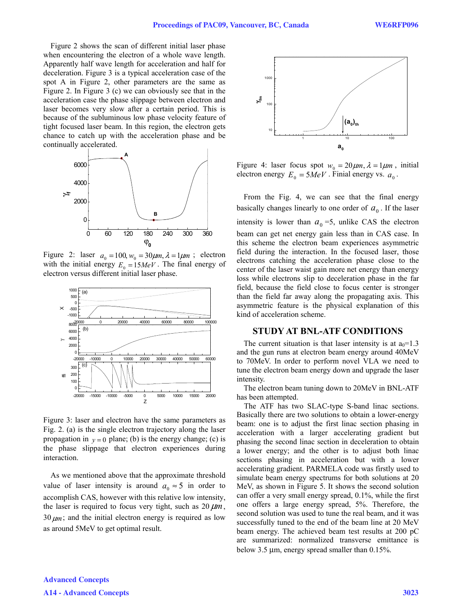Figure 2 shows the scan of different initial laser phase when encountering the electron of a whole wave length. Apparently half wave length for acceleration and half for deceleration. Figure 3 is a typical acceleration case of the spot A in Figure 2, other parameters are the same as Figure 2. In Figure 3 (c) we can obviously see that in the acceleration case the phase slippage between electron and laser becomes very slow after a certain period. This is because of the subluminous low phase velocity feature of tight focused laser beam. In this region, the electron gets chance to catch up with the acceleration phase and be continually accelerated.



Figure 2: laser  $a_0 = 100$ ,  $w_0 = 30 \mu m$ ,  $\lambda = 1 \mu m$ ; electron with the initial energy  $E_0 = 15MeV$ . The final energy of electron versus different initial laser phase.



Figure 3: laser and electron have the same parameters as Fig. 2. (a) is the single electron trajectory along the laser propagation in  $y = 0$  plane; (b) is the energy change; (c) is the phase slippage that electron experiences during interaction.

As we mentioned above that the approximate threshold value of laser intensity is around  $a_0 \approx 5$  in order to accomplish CAS, however with this relative low intensity, the laser is required to focus very tight, such as 20 μ*m*, 30 <sup>μ</sup>*m*; and the initial electron energy is required as low as around 5MeV to get optimal result.



Figure 4: laser focus spot  $w_0 = 20 \mu m$ ,  $\lambda = 1 \mu m$ , initial electron energy  $E_0 = 5MeV$ . Finial energy vs.  $a_0$ .

From the Fig. 4, we can see that the final energy basically changes linearly to one order of  $a_0$ . If the laser intensity is lower than  $a_0 = 5$ , unlike CAS the electron beam can get net energy gain less than in CAS case. In this scheme the electron beam experiences asymmetric field during the interaction. In the focused laser, those electrons catching the acceleration phase close to the center of the laser waist gain more net energy than energy loss while electrons slip to deceleration phase in the far field, because the field close to focus center is stronger than the field far away along the propagating axis. This asymmetric feature is the physical explanation of this kind of acceleration scheme.

#### **STUDY AT BNL-ATF CONDITIONS**

The current situation is that laser intensity is at  $a_0=1.3$ and the gun runs at electron beam energy around 40MeV to 70MeV. In order to perform novel VLA we need to tune the electron beam energy down and upgrade the laser intensity.

The electron beam tuning down to 20MeV in BNL-ATF has been attempted.

The ATF has two SLAC-type S-band linac sections. Basically there are two solutions to obtain a lower-energy beam: one is to adjust the first linac section phasing in acceleration with a larger accelerating gradient but phasing the second linac section in deceleration to obtain a lower energy; and the other is to adjust both linac sections phasing in acceleration but with a lower accelerating gradient. PARMELA code was firstly used to simulate beam energy spectrums for both solutions at 20 MeV, as shown in Figure 5. It shows the second solution can offer a very small energy spread, 0.1%, while the first one offers a large energy spread, 5%. Therefore, the second solution was used to tune the real beam, and it was successfully tuned to the end of the beam line at 20 MeV beam energy. The achieved beam test results at 200 pC are summarized: normalized transverse emittance is below 3.5 μm, energy spread smaller than 0.15%.